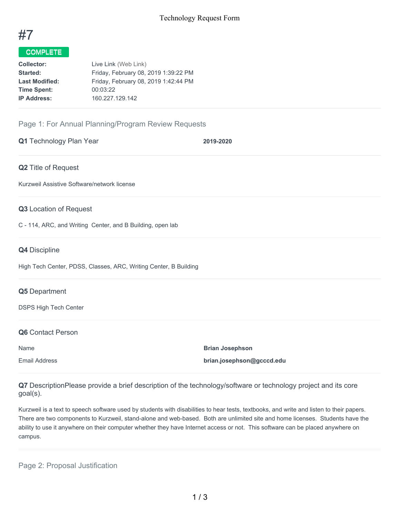

# COMPLETE

| <b>Collector:</b>     | Live Link (Web Link)                 |
|-----------------------|--------------------------------------|
| Started:              | Friday, February 08, 2019 1:39:22 PM |
| <b>Last Modified:</b> | Friday, February 08, 2019 1:42:44 PM |
| <b>Time Spent:</b>    | 00:03:22                             |
| <b>IP Address:</b>    | 160.227.129.142                      |

# Page 1: For Annual Planning/Program Review Requests

|  | <b>Q1</b> Technology Plan Year |
|--|--------------------------------|
|--|--------------------------------|

**Q1** Technology Plan Year **2019-2020**

#### **Q2** Title of Request

Kurzweil Assistive Software/network license

### **Q3** Location of Request

C - 114, ARC, and Writing Center, and B Building, open lab

#### **Q4** Discipline

High Tech Center, PDSS, Classes, ARC, Writing Center, B Building

#### **Q5** Department

DSPS High Tech Center

#### **Q6** Contact Person

Name **Brian Josephson** Email Address **brian.josephson@gcccd.edu**

**Q7** DescriptionPlease provide a brief description of the technology/software or technology project and its core goal(s).

Kurzweil is a text to speech software used by students with disabilities to hear tests, textbooks, and write and listen to their papers. There are two components to Kurzweil, stand-alone and web-based. Both are unlimited site and home licenses. Students have the ability to use it anywhere on their computer whether they have Internet access or not. This software can be placed anywhere on campus.

Page 2: Proposal Justification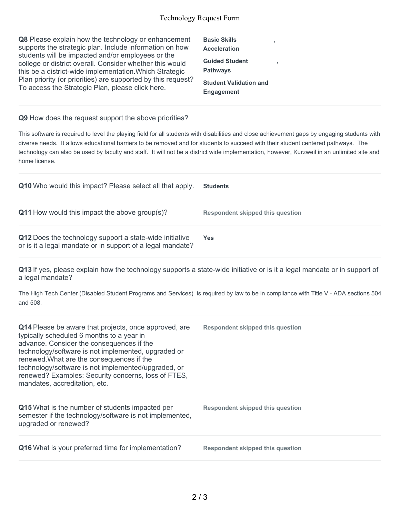### Technology Request Form

| <b>Q8</b> Please explain how the technology or enhancement<br>supports the strategic plan. Include information on how                                                    | <b>Basic Skills</b><br><b>Acceleration</b>         |  |
|--------------------------------------------------------------------------------------------------------------------------------------------------------------------------|----------------------------------------------------|--|
| students will be impacted and/or employees or the<br>college or district overall. Consider whether this would<br>this be a district-wide implementation. Which Strategic | <b>Guided Student</b><br><b>Pathways</b>           |  |
| Plan priority (or priorities) are supported by this request?<br>To access the Strategic Plan, please click here.                                                         | <b>Student Validation and</b><br><b>Engagement</b> |  |

### **Q9** How does the request support the above priorities?

This software is required to level the playing field for all students with disabilities and close achievement gaps by engaging students with diverse needs. It allows educational barriers to be removed and for students to succeed with their student centered pathways. The technology can also be used by faculty and staff. It will not be a district wide implementation, however, Kurzweil in an unlimited site and home license.

| Q10 Who would this impact? Please select all that apply.                                                              | <b>Students</b>                  |
|-----------------------------------------------------------------------------------------------------------------------|----------------------------------|
| <b>Q11</b> How would this impact the above group(s)?                                                                  | Respondent skipped this question |
| Q12 Does the technology support a state-wide initiative<br>or is it a legal mandate or in support of a legal mandate? | Yes.                             |

**Q13** If yes, please explain how the technology supports a state-wide initiative or is it a legal mandate or in support of a legal mandate?

The High Tech Center (Disabled Student Programs and Services) is required by law to be in compliance with Title V - ADA sections 504 and 508.

| Q14 Please be aware that projects, once approved, are<br>typically scheduled 6 months to a year in<br>advance. Consider the consequences if the<br>technology/software is not implemented, upgraded or<br>renewed. What are the consequences if the<br>technology/software is not implemented/upgraded, or<br>renewed? Examples: Security concerns, loss of FTES,<br>mandates, accreditation, etc. | Respondent skipped this question |
|----------------------------------------------------------------------------------------------------------------------------------------------------------------------------------------------------------------------------------------------------------------------------------------------------------------------------------------------------------------------------------------------------|----------------------------------|
| Q15 What is the number of students impacted per<br>semester if the technology/software is not implemented,<br>upgraded or renewed?                                                                                                                                                                                                                                                                 | Respondent skipped this question |
| <b>Q16</b> What is your preferred time for implementation?                                                                                                                                                                                                                                                                                                                                         | Respondent skipped this question |